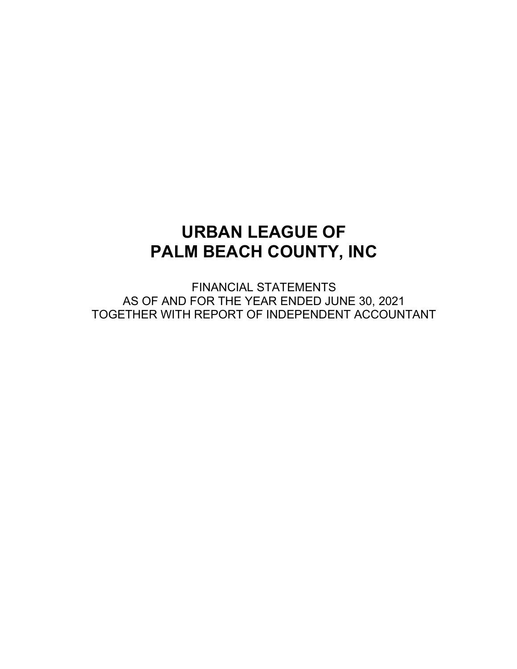# URBAN LEAGUE OF PALM BEACH COUNTY, INC

FINANCIAL STATEMENTS AS OF AND FOR THE YEAR ENDED JUNE 30, 2021 TOGETHER WITH REPORT OF INDEPENDENT ACCOUNTANT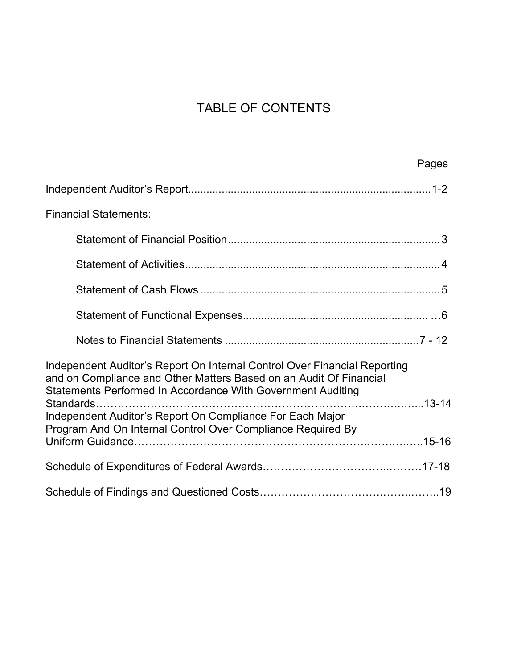## TABLE OF CONTENTS

| Pages                                                                                                                                                                                                          |
|----------------------------------------------------------------------------------------------------------------------------------------------------------------------------------------------------------------|
|                                                                                                                                                                                                                |
| <b>Financial Statements:</b>                                                                                                                                                                                   |
|                                                                                                                                                                                                                |
|                                                                                                                                                                                                                |
|                                                                                                                                                                                                                |
|                                                                                                                                                                                                                |
|                                                                                                                                                                                                                |
| Independent Auditor's Report On Internal Control Over Financial Reporting<br>and on Compliance and Other Matters Based on an Audit Of Financial<br>Statements Performed In Accordance With Government Auditing |
| Independent Auditor's Report On Compliance For Each Major<br>Program And On Internal Control Over Compliance Required By                                                                                       |
|                                                                                                                                                                                                                |
|                                                                                                                                                                                                                |
|                                                                                                                                                                                                                |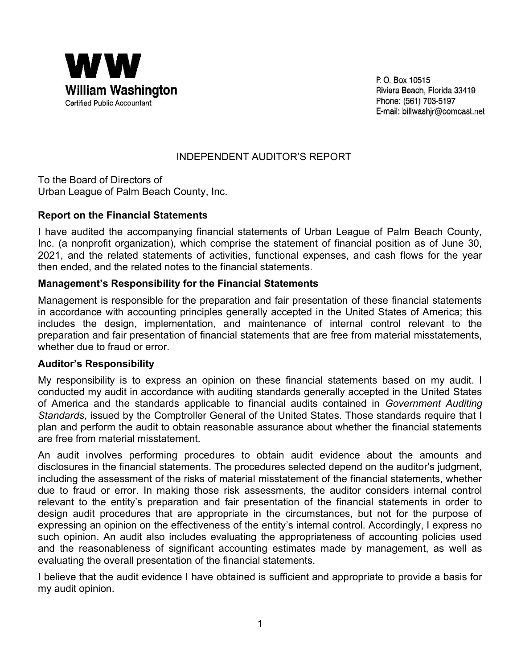

P.O. Box 10515 Riviera Beach, Florida 33419 Phone: (561) 703-5197 E-mail: billwashjr@comcast.net

## INDEPENDENT AUDITOR'S REPORT

To the Board of Directors of Urban League of Palm Beach County, Inc.

#### Report on the Financial Statements

I have audited the accompanying financial statements of Urban League of Palm Beach County, Inc. (a nonprofit organization), which comprise the statement of financial position as of June 30, 2021, and the related statements of activities, functional expenses, and cash flows for the year then ended, and the related notes to the financial statements.

## Management's Responsibility for the Financial Statements

Management is responsible for the preparation and fair presentation of these financial statements in accordance with accounting principles generally accepted in the United States of America; this includes the design, implementation, and maintenance of internal control relevant to the preparation and fair presentation of financial statements that are free from material misstatements, whether due to fraud or error.

#### Auditor's Responsibility

My responsibility is to express an opinion on these financial statements based on my audit. I conducted my audit in accordance with auditing standards generally accepted in the United States of America and the standards applicable to financial audits contained in Government Auditing Standards, issued by the Comptroller General of the United States. Those standards require that I plan and perform the audit to obtain reasonable assurance about whether the financial statements are free from material misstatement.

An audit involves performing procedures to obtain audit evidence about the amounts and disclosures in the financial statements. The procedures selected depend on the auditor's judgment, including the assessment of the risks of material misstatement of the financial statements, whether due to fraud or error. In making those risk assessments, the auditor considers internal control relevant to the entity's preparation and fair presentation of the financial statements in order to design audit procedures that are appropriate in the circumstances, but not for the purpose of expressing an opinion on the effectiveness of the entity's internal control. Accordingly, I express no such opinion. An audit also includes evaluating the appropriateness of accounting policies used and the reasonableness of significant accounting estimates made by management, as well as evaluating the overall presentation of the financial statements.

I believe that the audit evidence I have obtained is sufficient and appropriate to provide a basis for my audit opinion.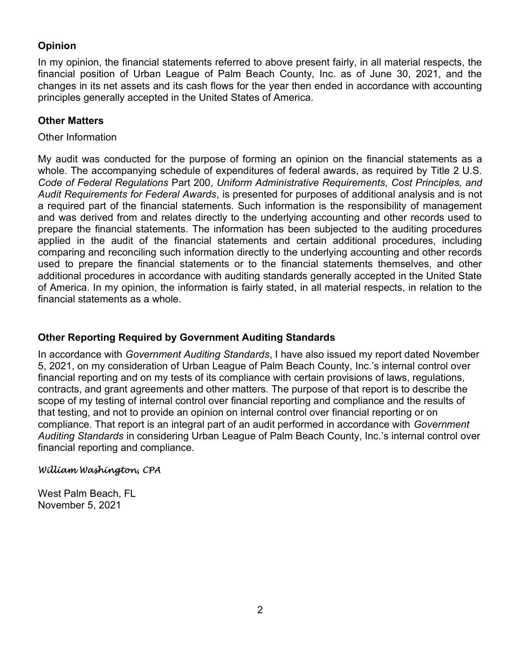## Opinion

In my opinion, the financial statements referred to above present fairly, in all material respects, the financial position of Urban League of Palm Beach County, Inc. as of June 30, 2021, and the changes in its net assets and its cash flows for the year then ended in accordance with accounting principles generally accepted in the United States of America.

#### Other Matters

Other Information

My audit was conducted for the purpose of forming an opinion on the financial statements as a whole. The accompanying schedule of expenditures of federal awards, as required by Title 2 U.S. Code of Federal Regulations Part 200, Uniform Administrative Requirements, Cost Principles, and Audit Requirements for Federal Awards, is presented for purposes of additional analysis and is not a required part of the financial statements. Such information is the responsibility of management and was derived from and relates directly to the underlying accounting and other records used to prepare the financial statements. The information has been subjected to the auditing procedures applied in the audit of the financial statements and certain additional procedures, including comparing and reconciling such information directly to the underlying accounting and other records used to prepare the financial statements or to the financial statements themselves, and other additional procedures in accordance with auditing standards generally accepted in the United State of America. In my opinion, the information is fairly stated, in all material respects, in relation to the financial statements as a whole.

## Other Reporting Required by Government Auditing Standards

In accordance with Government Auditing Standards, I have also issued my report dated November 5, 2021, on my consideration of Urban League of Palm Beach County, Inc.'s internal control over financial reporting and on my tests of its compliance with certain provisions of laws, regulations, contracts, and grant agreements and other matters. The purpose of that report is to describe the scope of my testing of internal control over financial reporting and compliance and the results of that testing, and not to provide an opinion on internal control over financial reporting or on compliance. That report is an integral part of an audit performed in accordance with Government Auditing Standards in considering Urban League of Palm Beach County, Inc.'s internal control over financial reporting and compliance.

#### William Washington, CPA

West Palm Beach, FL November 5, 2021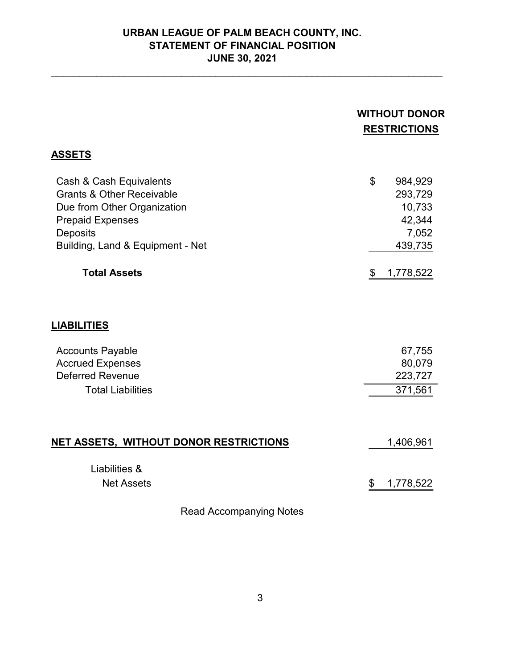## URBAN LEAGUE OF PALM BEACH COUNTY, INC. STATEMENT OF FINANCIAL POSITION JUNE 30, 2021

| <b>JUNE 30, 2021</b>                                                                                                                                                      |                                                                  |  |
|---------------------------------------------------------------------------------------------------------------------------------------------------------------------------|------------------------------------------------------------------|--|
|                                                                                                                                                                           | <b>WITHOUT DONOR</b><br><b>RESTRICTIONS</b>                      |  |
| <b>ASSETS</b>                                                                                                                                                             |                                                                  |  |
| Cash & Cash Equivalents<br><b>Grants &amp; Other Receivable</b><br>Due from Other Organization<br><b>Prepaid Expenses</b><br>Deposits<br>Building, Land & Equipment - Net | \$<br>984,929<br>293,729<br>10,733<br>42,344<br>7,052<br>439,735 |  |
| <b>Total Assets</b>                                                                                                                                                       | 1,778,522<br>\$                                                  |  |
| <b>LIABILITIES</b>                                                                                                                                                        |                                                                  |  |
| <b>Accounts Payable</b><br><b>Accrued Expenses</b><br><b>Deferred Revenue</b><br><b>Total Liabilities</b>                                                                 | 67,755<br>80,079<br>223,727<br>371,561                           |  |
| NET ASSETS, WITHOUT DONOR RESTRICTIONS                                                                                                                                    | 1,406,961                                                        |  |
| Liabilities &<br><b>Net Assets</b>                                                                                                                                        | 1,778,522<br>$\mathcal{L}$                                       |  |
| <b>Read Accompanying Notes</b>                                                                                                                                            |                                                                  |  |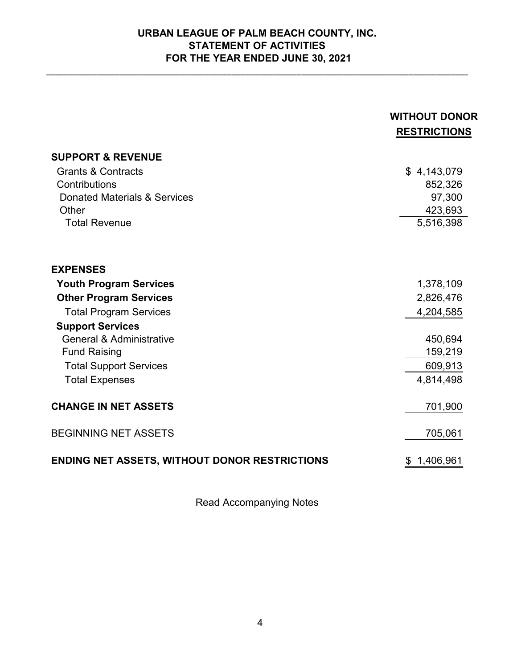## URBAN LEAGUE OF PALM BEACH COUNTY, INC. STATEMENT OF ACTIVITIES FOR THE YEAR ENDED JUNE 30, 2021

| URBAN LEAGUE OF PALM BEACH COUNTY, INC.<br><b>STATEMENT OF ACTIVITIES</b><br>FOR THE YEAR ENDED JUNE 30, 2021 |                                             |  |
|---------------------------------------------------------------------------------------------------------------|---------------------------------------------|--|
|                                                                                                               | <b>WITHOUT DONOR</b><br><b>RESTRICTIONS</b> |  |
| <b>SUPPORT &amp; REVENUE</b>                                                                                  |                                             |  |
| <b>Grants &amp; Contracts</b>                                                                                 | \$4,143,079                                 |  |
| Contributions                                                                                                 | 852,326                                     |  |
| <b>Donated Materials &amp; Services</b>                                                                       | 97,300                                      |  |
| Other                                                                                                         | 423,693                                     |  |
| <b>Total Revenue</b>                                                                                          | 5,516,398                                   |  |
| <b>EXPENSES</b>                                                                                               |                                             |  |
| <b>Youth Program Services</b>                                                                                 | 1,378,109                                   |  |
| <b>Other Program Services</b>                                                                                 | 2,826,476                                   |  |
| <b>Total Program Services</b>                                                                                 | 4,204,585                                   |  |
| <b>Support Services</b>                                                                                       |                                             |  |
| <b>General &amp; Administrative</b>                                                                           | 450,694                                     |  |
| <b>Fund Raising</b>                                                                                           | 159,219                                     |  |
| <b>Total Support Services</b>                                                                                 | 609,913                                     |  |
| <b>Total Expenses</b>                                                                                         | 4,814,498                                   |  |
| <b>CHANGE IN NET ASSETS</b>                                                                                   | 701,900                                     |  |
| <b>BEGINNING NET ASSETS</b>                                                                                   | 705,061                                     |  |
| <b>ENDING NET ASSETS, WITHOUT DONOR RESTRICTIONS</b>                                                          | \$1,406,961                                 |  |

Read Accompanying Notes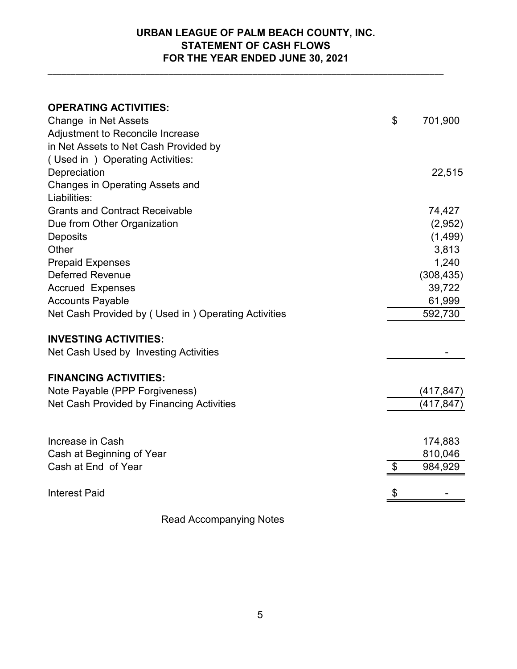## URBAN LEAGUE OF PALM BEACH COUNTY, INC. STATEMENT OF CASH FLOWS FOR THE YEAR ENDED JUNE 30, 2021

| <b>STATEMENT OF CASH FLOWS</b><br>FOR THE YEAR ENDED JUNE 30, 2021                                                                   | URBAN LEAGUE OF PALM BEACH COUNTY, INC. |            |
|--------------------------------------------------------------------------------------------------------------------------------------|-----------------------------------------|------------|
| <b>OPERATING ACTIVITIES:</b>                                                                                                         |                                         |            |
| Change in Net Assets<br>Adjustment to Reconcile Increase<br>in Net Assets to Net Cash Provided by<br>(Used in) Operating Activities: | \$                                      | 701,900    |
| Depreciation<br>Changes in Operating Assets and<br>Liabilities:                                                                      |                                         | 22,515     |
| <b>Grants and Contract Receivable</b>                                                                                                |                                         | 74,427     |
| Due from Other Organization                                                                                                          |                                         | (2,952)    |
|                                                                                                                                      |                                         |            |
| Deposits                                                                                                                             |                                         | (1,499)    |
| Other                                                                                                                                |                                         | 3,813      |
| <b>Prepaid Expenses</b>                                                                                                              |                                         | 1,240      |
| <b>Deferred Revenue</b>                                                                                                              |                                         | (308, 435) |
| <b>Accrued Expenses</b>                                                                                                              |                                         | 39,722     |
| <b>Accounts Payable</b>                                                                                                              |                                         | 61,999     |
| Net Cash Provided by (Used in) Operating Activities                                                                                  |                                         | 592,730    |
| <b>INVESTING ACTIVITIES:</b>                                                                                                         |                                         |            |
| Net Cash Used by Investing Activities                                                                                                |                                         |            |
| <b>FINANCING ACTIVITIES:</b>                                                                                                         |                                         |            |
| Note Payable (PPP Forgiveness)                                                                                                       |                                         | (417, 847) |
| Net Cash Provided by Financing Activities                                                                                            |                                         | (417, 847) |
| Increase in Cash                                                                                                                     |                                         | 174,883    |
| Cash at Beginning of Year                                                                                                            |                                         | 810,046    |
| Cash at End of Year                                                                                                                  |                                         | 984,929    |
| <b>Interest Paid</b>                                                                                                                 |                                         |            |
|                                                                                                                                      |                                         |            |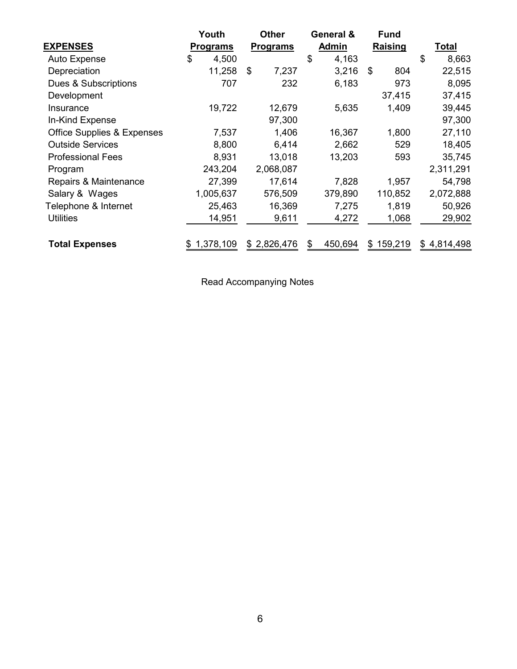|                                       | Youth           | <b>Other</b>    | General &     | <b>Fund</b>                      |              |
|---------------------------------------|-----------------|-----------------|---------------|----------------------------------|--------------|
| <b>EXPENSES</b>                       | <b>Programs</b> | <b>Programs</b> | Admin         | Raising                          | <b>Total</b> |
| Auto Expense                          | \$<br>4,500     |                 | \$<br>4,163   |                                  | \$<br>8,663  |
| Depreciation                          | 11,258          | \$<br>7,237     | 3,216         | $\boldsymbol{\mathsf{S}}$<br>804 | 22,515       |
| Dues & Subscriptions                  | 707             | 232             | 6,183         | 973                              | 8,095        |
| Development                           |                 |                 |               | 37,415                           | 37,415       |
| Insurance                             | 19,722          | 12,679          | 5,635         | 1,409                            | 39,445       |
| In-Kind Expense                       |                 | 97,300          |               |                                  | 97,300       |
| <b>Office Supplies &amp; Expenses</b> | 7,537           | 1,406           | 16,367        | 1,800                            | 27,110       |
| <b>Outside Services</b>               | 8,800           | 6,414           | 2,662         | 529                              | 18,405       |
| <b>Professional Fees</b>              | 8,931           | 13,018          | 13,203        | 593                              | 35,745       |
|                                       | 243,204         | 2,068,087       |               |                                  | 2,311,291    |
|                                       |                 | 17,614          | 7,828         | 1,957                            | 54,798       |
| Program                               |                 |                 |               | 110,852                          | 2,072,888    |
| Repairs & Maintenance                 | 27,399          |                 |               |                                  |              |
| Salary & Wages                        | 1,005,637       | 576,509         | 379,890       |                                  |              |
| Telephone & Internet                  | 25,463          | 16,369          | 7,275         | 1,819                            | 50,926       |
| <b>Utilities</b>                      | 14,951          | 9,611           | 4,272         | 1,068                            | 29,902       |
| <b>Total Expenses</b>                 | \$1,378,109     | \$2,826,476     | 450,694<br>\$ | \$159,219                        | \$4,814,498  |
|                                       |                 |                 |               |                                  |              |

Read Accompanying Notes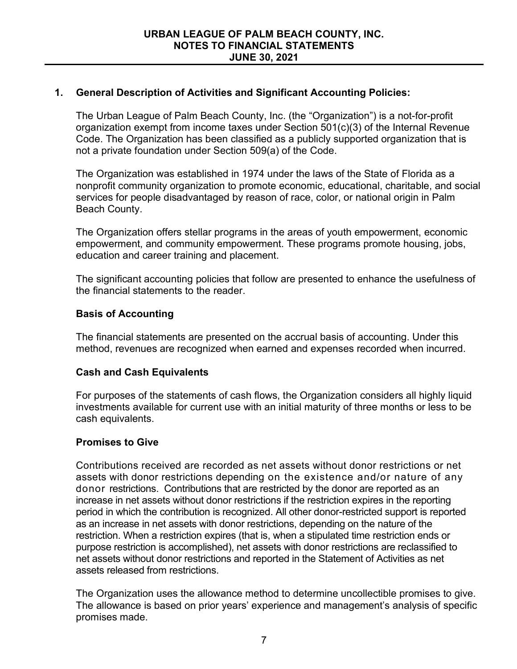## 1. General Description of Activities and Significant Accounting Policies:

The Urban League of Palm Beach County, Inc. (the "Organization") is a not-for-profit organization exempt from income taxes under Section 501(c)(3) of the Internal Revenue Code. The Organization has been classified as a publicly supported organization that is not a private foundation under Section 509(a) of the Code.

The Organization was established in 1974 under the laws of the State of Florida as a nonprofit community organization to promote economic, educational, charitable, and social services for people disadvantaged by reason of race, color, or national origin in Palm Beach County.

The Organization offers stellar programs in the areas of youth empowerment, economic empowerment, and community empowerment. These programs promote housing, jobs, education and career training and placement.

The significant accounting policies that follow are presented to enhance the usefulness of the financial statements to the reader.

## Basis of Accounting

The financial statements are presented on the accrual basis of accounting. Under this method, revenues are recognized when earned and expenses recorded when incurred.

#### Cash and Cash Equivalents

For purposes of the statements of cash flows, the Organization considers all highly liquid investments available for current use with an initial maturity of three months or less to be cash equivalents.

#### Promises to Give

Contributions received are recorded as net assets without donor restrictions or net assets with donor restrictions depending on the existence and/or nature of any donor restrictions. Contributions that are restricted by the donor are reported as an increase in net assets without donor restrictions if the restriction expires in the reporting period in which the contribution is recognized. All other donor-restricted support is reported as an increase in net assets with donor restrictions, depending on the nature of the restriction. When a restriction expires (that is, when a stipulated time restriction ends or purpose restriction is accomplished), net assets with donor restrictions are reclassified to net assets without donor restrictions and reported in the Statement of Activities as net assets released from restrictions.

The Organization uses the allowance method to determine uncollectible promises to give. The allowance is based on prior years' experience and management's analysis of specific promises made.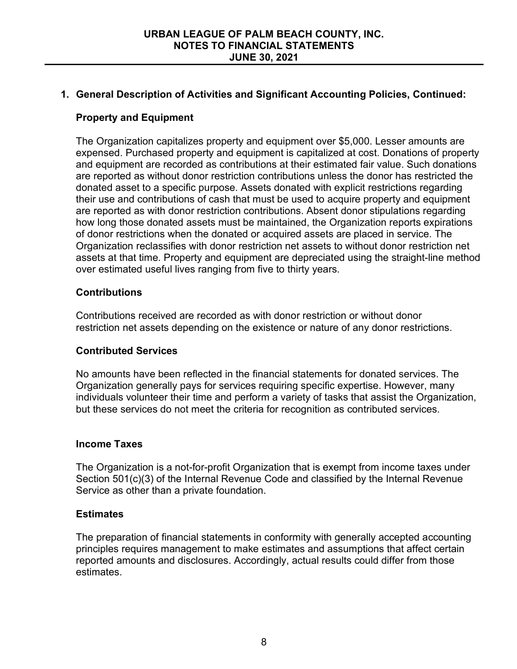## 1. General Description of Activities and Significant Accounting Policies, Continued:

## Property and Equipment

The Organization capitalizes property and equipment over \$5,000. Lesser amounts are expensed. Purchased property and equipment is capitalized at cost. Donations of property and equipment are recorded as contributions at their estimated fair value. Such donations are reported as without donor restriction contributions unless the donor has restricted the donated asset to a specific purpose. Assets donated with explicit restrictions regarding their use and contributions of cash that must be used to acquire property and equipment are reported as with donor restriction contributions. Absent donor stipulations regarding how long those donated assets must be maintained, the Organization reports expirations of donor restrictions when the donated or acquired assets are placed in service. The Organization reclassifies with donor restriction net assets to without donor restriction net assets at that time. Property and equipment are depreciated using the straight-line method over estimated useful lives ranging from five to thirty years.

## **Contributions**

Contributions received are recorded as with donor restriction or without donor restriction net assets depending on the existence or nature of any donor restrictions.

#### Contributed Services

No amounts have been reflected in the financial statements for donated services. The Organization generally pays for services requiring specific expertise. However, many individuals volunteer their time and perform a variety of tasks that assist the Organization, but these services do not meet the criteria for recognition as contributed services.

#### Income Taxes

The Organization is a not-for-profit Organization that is exempt from income taxes under Section 501(c)(3) of the Internal Revenue Code and classified by the Internal Revenue Service as other than a private foundation.

#### **Estimates**

The preparation of financial statements in conformity with generally accepted accounting principles requires management to make estimates and assumptions that affect certain reported amounts and disclosures. Accordingly, actual results could differ from those estimates.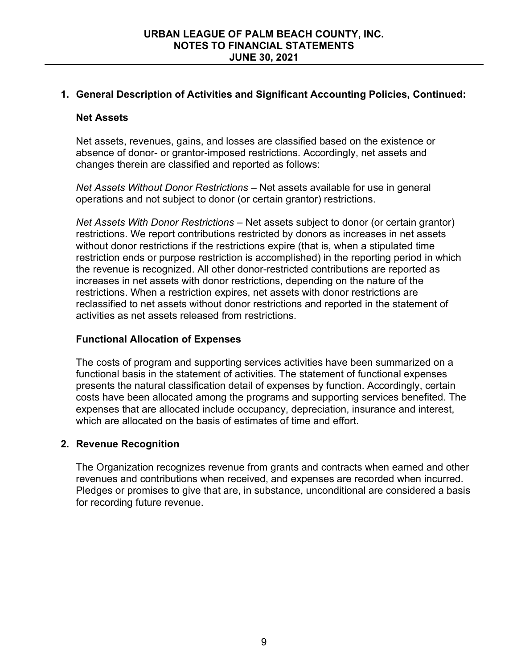## 1. General Description of Activities and Significant Accounting Policies, Continued:

#### Net Assets

Net assets, revenues, gains, and losses are classified based on the existence or absence of donor- or grantor-imposed restrictions. Accordingly, net assets and changes therein are classified and reported as follows:

Net Assets Without Donor Restrictions – Net assets available for use in general operations and not subject to donor (or certain grantor) restrictions.

Net Assets With Donor Restrictions – Net assets subject to donor (or certain grantor) restrictions. We report contributions restricted by donors as increases in net assets without donor restrictions if the restrictions expire (that is, when a stipulated time restriction ends or purpose restriction is accomplished) in the reporting period in which the revenue is recognized. All other donor-restricted contributions are reported as increases in net assets with donor restrictions, depending on the nature of the restrictions. When a restriction expires, net assets with donor restrictions are reclassified to net assets without donor restrictions and reported in the statement of activities as net assets released from restrictions.

#### Functional Allocation of Expenses

The costs of program and supporting services activities have been summarized on a functional basis in the statement of activities. The statement of functional expenses presents the natural classification detail of expenses by function. Accordingly, certain costs have been allocated among the programs and supporting services benefited. The expenses that are allocated include occupancy, depreciation, insurance and interest, which are allocated on the basis of estimates of time and effort.

#### 2. Revenue Recognition

The Organization recognizes revenue from grants and contracts when earned and other revenues and contributions when received, and expenses are recorded when incurred. Pledges or promises to give that are, in substance, unconditional are considered a basis for recording future revenue.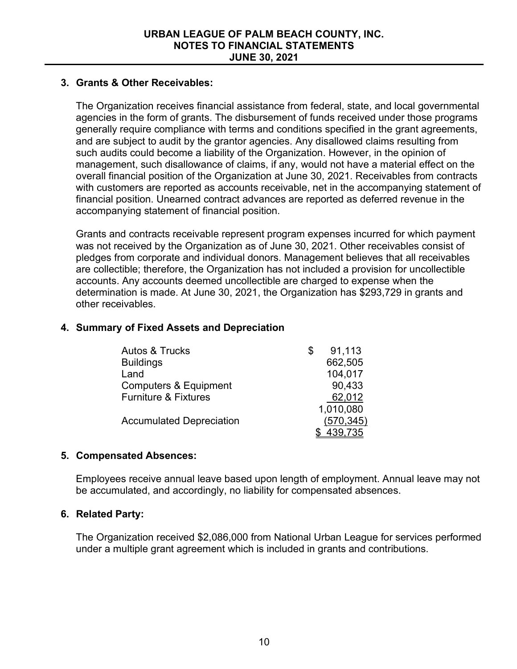#### 3. Grants & Other Receivables:

The Organization receives financial assistance from federal, state, and local governmental agencies in the form of grants. The disbursement of funds received under those programs generally require compliance with terms and conditions specified in the grant agreements, and are subject to audit by the grantor agencies. Any disallowed claims resulting from such audits could become a liability of the Organization. However, in the opinion of management, such disallowance of claims, if any, would not have a material effect on the overall financial position of the Organization at June 30, 2021. Receivables from contracts with customers are reported as accounts receivable, net in the accompanying statement of financial position. Unearned contract advances are reported as deferred revenue in the accompanying statement of financial position.

Grants and contracts receivable represent program expenses incurred for which payment was not received by the Organization as of June 30, 2021. Other receivables consist of pledges from corporate and individual donors. Management believes that all receivables are collectible; therefore, the Organization has not included a provision for uncollectible accounts. Any accounts deemed uncollectible are charged to expense when the determination is made. At June 30, 2021, the Organization has \$293,729 in grants and other receivables.

## 4. Summary of Fixed Assets and Depreciation

| <b>Autos &amp; Trucks</b>        | 91,113<br>\$ |
|----------------------------------|--------------|
| <b>Buildings</b>                 | 662,505      |
| Land                             | 104,017      |
| <b>Computers &amp; Equipment</b> | 90,433       |
| <b>Furniture &amp; Fixtures</b>  | 62,012       |
|                                  | 1,010,080    |
| <b>Accumulated Depreciation</b>  | (570,345)    |
|                                  | 439,735      |

#### 5. Compensated Absences:

Employees receive annual leave based upon length of employment. Annual leave may not be accumulated, and accordingly, no liability for compensated absences.

#### 6. Related Party:

The Organization received \$2,086,000 from National Urban League for services performed under a multiple grant agreement which is included in grants and contributions.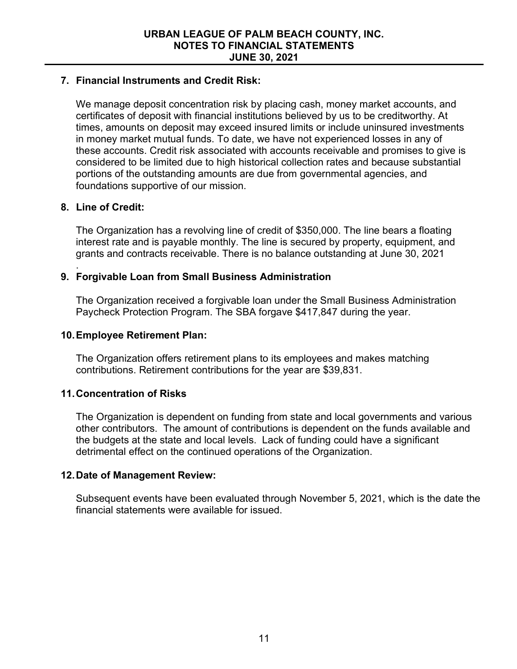#### 7. Financial Instruments and Credit Risk:

We manage deposit concentration risk by placing cash, money market accounts, and certificates of deposit with financial institutions believed by us to be creditworthy. At times, amounts on deposit may exceed insured limits or include uninsured investments in money market mutual funds. To date, we have not experienced losses in any of these accounts. Credit risk associated with accounts receivable and promises to give is considered to be limited due to high historical collection rates and because substantial portions of the outstanding amounts are due from governmental agencies, and foundations supportive of our mission.

## 8. Line of Credit:

.

The Organization has a revolving line of credit of \$350,000. The line bears a floating interest rate and is payable monthly. The line is secured by property, equipment, and grants and contracts receivable. There is no balance outstanding at June 30, 2021

## 9. Forgivable Loan from Small Business Administration

The Organization received a forgivable loan under the Small Business Administration Paycheck Protection Program. The SBA forgave \$417,847 during the year.

#### 10. Employee Retirement Plan:

The Organization offers retirement plans to its employees and makes matching contributions. Retirement contributions for the year are \$39,831.

#### 11. Concentration of Risks

The Organization is dependent on funding from state and local governments and various other contributors. The amount of contributions is dependent on the funds available and the budgets at the state and local levels. Lack of funding could have a significant detrimental effect on the continued operations of the Organization.

#### 12. Date of Management Review:

Subsequent events have been evaluated through November 5, 2021, which is the date the financial statements were available for issued.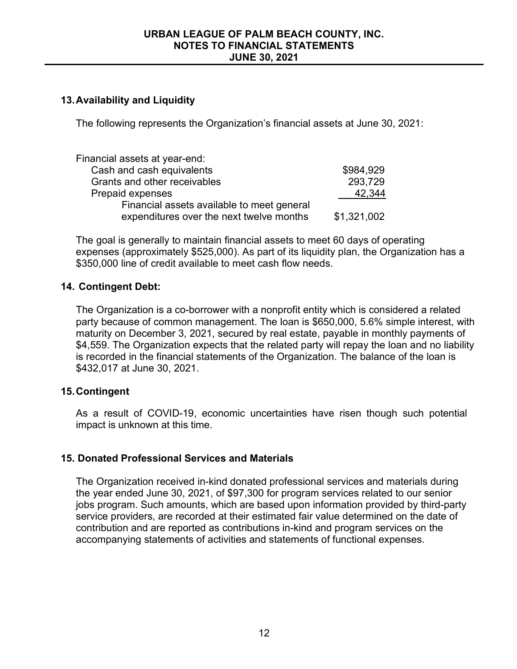#### URBAN LEAGUE OF PALM BEACH COUNTY, INC. NOTES TO FINANCIAL STATEMENTS JUNE 30, 2021

## 13. Availability and Liquidity

The following represents the Organization's financial assets at June 30, 2021:

| Financial assets at year-end:              |             |
|--------------------------------------------|-------------|
| Cash and cash equivalents                  | \$984,929   |
| Grants and other receivables               | 293,729     |
| Prepaid expenses                           | 42.344      |
| Financial assets available to meet general |             |
| expenditures over the next twelve months   | \$1,321,002 |

The goal is generally to maintain financial assets to meet 60 days of operating expenses (approximately \$525,000). As part of its liquidity plan, the Organization has a \$350,000 line of credit available to meet cash flow needs.

#### 14. Contingent Debt:

The Organization is a co-borrower with a nonprofit entity which is considered a related party because of common management. The loan is \$650,000, 5.6% simple interest, with maturity on December 3, 2021, secured by real estate, payable in monthly payments of \$4,559. The Organization expects that the related party will repay the loan and no liability is recorded in the financial statements of the Organization. The balance of the loan is \$432,017 at June 30, 2021.

#### 15. Contingent

As a result of COVID-19, economic uncertainties have risen though such potential impact is unknown at this time.

## 15. Donated Professional Services and Materials

The Organization received in-kind donated professional services and materials during the year ended June 30, 2021, of \$97,300 for program services related to our senior jobs program. Such amounts, which are based upon information provided by third-party service providers, are recorded at their estimated fair value determined on the date of contribution and are reported as contributions in-kind and program services on the accompanying statements of activities and statements of functional expenses.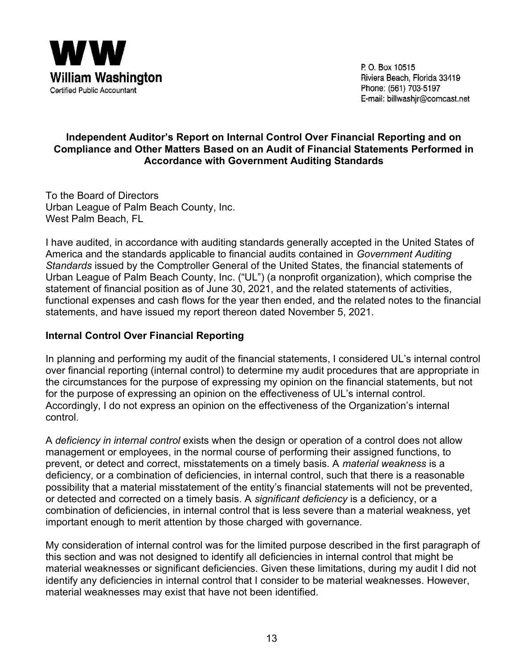

P.O. Box 10515 Riviera Beach, Florida 33419 Phone: (561) 703-5197 E-mail: billwashjr@comcast.net

#### Independent Auditor's Report on Internal Control Over Financial Reporting and on Compliance and Other Matters Based on an Audit of Financial Statements Performed in Accordance with Government Auditing Standards

To the Board of Directors Urban League of Palm Beach County, Inc. West Palm Beach, FL

I have audited, in accordance with auditing standards generally accepted in the United States of America and the standards applicable to financial audits contained in Government Auditing Standards issued by the Comptroller General of the United States, the financial statements of Urban League of Palm Beach County, Inc. ("UL") (a nonprofit organization), which comprise the statement of financial position as of June 30, 2021, and the related statements of activities, functional expenses and cash flows for the year then ended, and the related notes to the financial statements, and have issued my report thereon dated November 5, 2021.

#### Internal Control Over Financial Reporting

In planning and performing my audit of the financial statements, I considered UL's internal control over financial reporting (internal control) to determine my audit procedures that are appropriate in the circumstances for the purpose of expressing my opinion on the financial statements, but not for the purpose of expressing an opinion on the effectiveness of UL's internal control. Accordingly, I do not express an opinion on the effectiveness of the Organization's internal control.

A deficiency in internal control exists when the design or operation of a control does not allow management or employees, in the normal course of performing their assigned functions, to prevent, or detect and correct, misstatements on a timely basis. A material weakness is a deficiency, or a combination of deficiencies, in internal control, such that there is a reasonable possibility that a material misstatement of the entity's financial statements will not be prevented, or detected and corrected on a timely basis. A significant deficiency is a deficiency, or a combination of deficiencies, in internal control that is less severe than a material weakness, yet important enough to merit attention by those charged with governance.

My consideration of internal control was for the limited purpose described in the first paragraph of this section and was not designed to identify all deficiencies in internal control that might be material weaknesses or significant deficiencies. Given these limitations, during my audit I did not identify any deficiencies in internal control that I consider to be material weaknesses. However, material weaknesses may exist that have not been identified.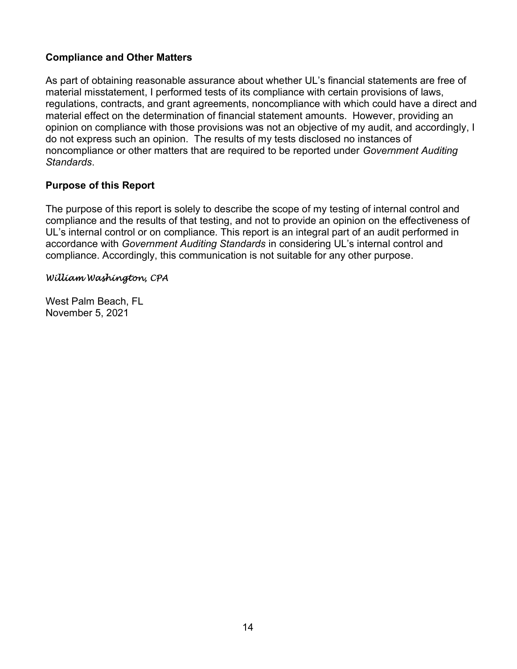## Compliance and Other Matters

As part of obtaining reasonable assurance about whether UL's financial statements are free of material misstatement, I performed tests of its compliance with certain provisions of laws, regulations, contracts, and grant agreements, noncompliance with which could have a direct and material effect on the determination of financial statement amounts. However, providing an opinion on compliance with those provisions was not an objective of my audit, and accordingly, I do not express such an opinion. The results of my tests disclosed no instances of noncompliance or other matters that are required to be reported under Government Auditing Standards.

## Purpose of this Report

The purpose of this report is solely to describe the scope of my testing of internal control and compliance and the results of that testing, and not to provide an opinion on the effectiveness of UL's internal control or on compliance. This report is an integral part of an audit performed in accordance with Government Auditing Standards in considering UL's internal control and compliance. Accordingly, this communication is not suitable for any other purpose.

## William Washington, CPA

West Palm Beach, FL November 5, 2021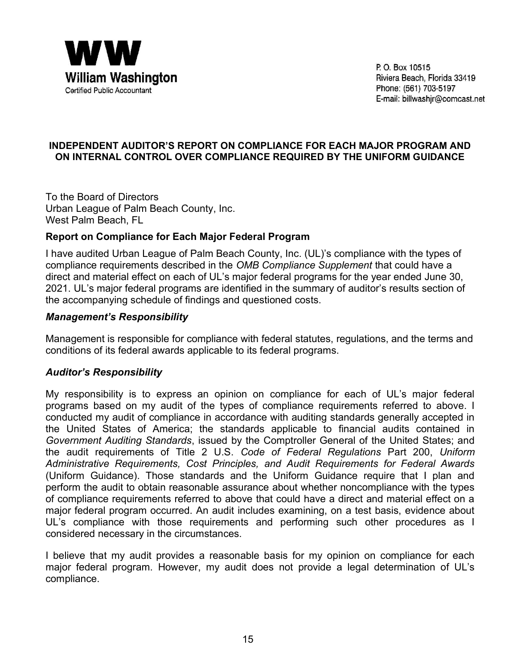

P.O. Box 10515 Riviera Beach, Florida 33419 Phone: (561) 703-5197 E-mail: billwashjr@comcast.net

#### INDEPENDENT AUDITOR'S REPORT ON COMPLIANCE FOR EACH MAJOR PROGRAM AND ON INTERNAL CONTROL OVER COMPLIANCE REQUIRED BY THE UNIFORM GUIDANCE

To the Board of Directors Urban League of Palm Beach County, Inc. West Palm Beach, FL

#### Report on Compliance for Each Major Federal Program

I have audited Urban League of Palm Beach County, Inc. (UL)'s compliance with the types of compliance requirements described in the OMB Compliance Supplement that could have a direct and material effect on each of UL's major federal programs for the year ended June 30, 2021. UL's major federal programs are identified in the summary of auditor's results section of the accompanying schedule of findings and questioned costs.

#### Management's Responsibility

Management is responsible for compliance with federal statutes, regulations, and the terms and conditions of its federal awards applicable to its federal programs.

#### Auditor's Responsibility

My responsibility is to express an opinion on compliance for each of UL's major federal programs based on my audit of the types of compliance requirements referred to above. I conducted my audit of compliance in accordance with auditing standards generally accepted in the United States of America; the standards applicable to financial audits contained in Government Auditing Standards, issued by the Comptroller General of the United States; and the audit requirements of Title 2 U.S. Code of Federal Regulations Part 200, Uniform Administrative Requirements, Cost Principles, and Audit Requirements for Federal Awards (Uniform Guidance). Those standards and the Uniform Guidance require that I plan and perform the audit to obtain reasonable assurance about whether noncompliance with the types of compliance requirements referred to above that could have a direct and material effect on a major federal program occurred. An audit includes examining, on a test basis, evidence about UL's compliance with those requirements and performing such other procedures as I considered necessary in the circumstances.

I believe that my audit provides a reasonable basis for my opinion on compliance for each major federal program. However, my audit does not provide a legal determination of UL's compliance.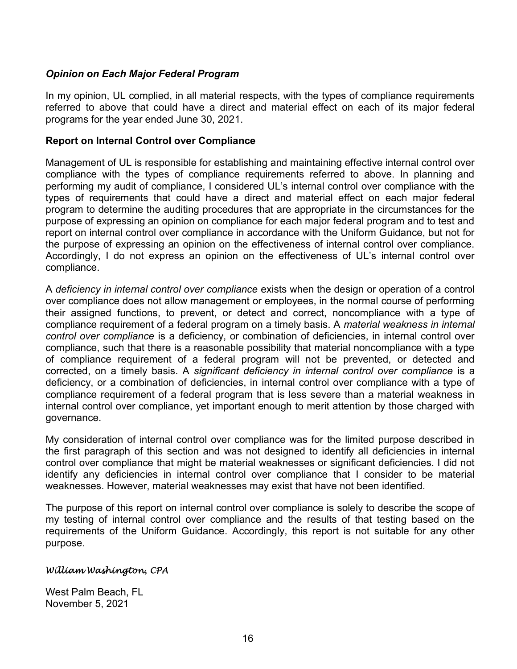## Opinion on Each Major Federal Program

In my opinion, UL complied, in all material respects, with the types of compliance requirements referred to above that could have a direct and material effect on each of its major federal programs for the year ended June 30, 2021.

#### Report on Internal Control over Compliance

Management of UL is responsible for establishing and maintaining effective internal control over compliance with the types of compliance requirements referred to above. In planning and performing my audit of compliance, I considered UL's internal control over compliance with the types of requirements that could have a direct and material effect on each major federal program to determine the auditing procedures that are appropriate in the circumstances for the purpose of expressing an opinion on compliance for each major federal program and to test and report on internal control over compliance in accordance with the Uniform Guidance, but not for the purpose of expressing an opinion on the effectiveness of internal control over compliance. Accordingly, I do not express an opinion on the effectiveness of UL's internal control over compliance.

A deficiency in internal control over compliance exists when the design or operation of a control over compliance does not allow management or employees, in the normal course of performing their assigned functions, to prevent, or detect and correct, noncompliance with a type of compliance requirement of a federal program on a timely basis. A material weakness in internal control over compliance is a deficiency, or combination of deficiencies, in internal control over compliance, such that there is a reasonable possibility that material noncompliance with a type of compliance requirement of a federal program will not be prevented, or detected and corrected, on a timely basis. A significant deficiency in internal control over compliance is a deficiency, or a combination of deficiencies, in internal control over compliance with a type of compliance requirement of a federal program that is less severe than a material weakness in internal control over compliance, yet important enough to merit attention by those charged with governance.

My consideration of internal control over compliance was for the limited purpose described in the first paragraph of this section and was not designed to identify all deficiencies in internal control over compliance that might be material weaknesses or significant deficiencies. I did not identify any deficiencies in internal control over compliance that I consider to be material weaknesses. However, material weaknesses may exist that have not been identified.

The purpose of this report on internal control over compliance is solely to describe the scope of my testing of internal control over compliance and the results of that testing based on the requirements of the Uniform Guidance. Accordingly, this report is not suitable for any other purpose.

#### William Washington, CPA

West Palm Beach, FL November 5, 2021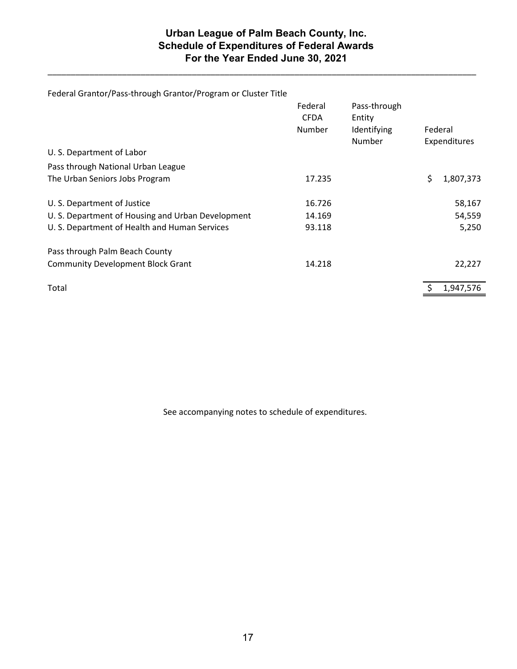## Urban League of Palm Beach County, Inc. Schedule of Expenditures of Federal Awards For the Year Ended June 30, 2021

\_\_\_\_\_\_\_\_\_\_\_\_\_\_\_\_\_\_\_\_\_\_\_\_\_\_\_\_\_\_\_\_\_\_\_\_\_\_\_\_\_\_\_\_\_\_\_\_\_\_\_\_\_\_\_\_\_\_\_\_\_\_\_\_\_\_\_\_\_\_\_\_\_\_\_\_\_\_\_\_\_\_\_\_\_\_\_\_\_\_\_\_

| Federal Grantor/Pass-through Grantor/Program or Cluster Title |                        |                        |                         |           |  |
|---------------------------------------------------------------|------------------------|------------------------|-------------------------|-----------|--|
|                                                               | Federal<br><b>CFDA</b> | Pass-through<br>Entity |                         |           |  |
|                                                               | Number                 | Identifying<br>Number  | Federal<br>Expenditures |           |  |
| U.S. Department of Labor                                      |                        |                        |                         |           |  |
| Pass through National Urban League                            |                        |                        |                         |           |  |
| The Urban Seniors Jobs Program                                | 17.235                 |                        | Ś.                      | 1,807,373 |  |
| U.S. Department of Justice                                    | 16.726                 |                        |                         | 58,167    |  |
| U.S. Department of Housing and Urban Development              | 14.169                 |                        |                         | 54,559    |  |
| U. S. Department of Health and Human Services                 | 93.118                 |                        |                         | 5,250     |  |
| Pass through Palm Beach County                                |                        |                        |                         |           |  |
| <b>Community Development Block Grant</b>                      | 14.218                 |                        |                         | 22,227    |  |
| Total                                                         |                        |                        |                         | 1,947,576 |  |

See accompanying notes to schedule of expenditures.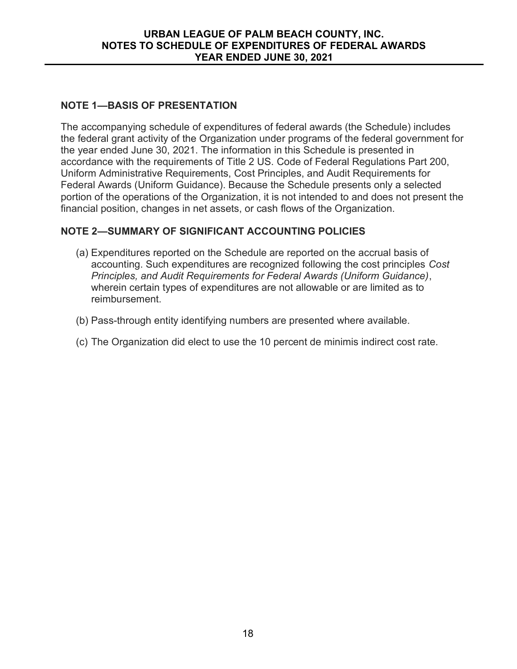#### URBAN LEAGUE OF PALM BEACH COUNTY, INC. NOTES TO SCHEDULE OF EXPENDITURES OF FEDERAL AWARDS YEAR ENDED JUNE 30, 2021

#### NOTE 1—BASIS OF PRESENTATION

The accompanying schedule of expenditures of federal awards (the Schedule) includes the federal grant activity of the Organization under programs of the federal government for the year ended June 30, 2021. The information in this Schedule is presented in accordance with the requirements of Title 2 US. Code of Federal Regulations Part 200, Uniform Administrative Requirements, Cost Principles, and Audit Requirements for Federal Awards (Uniform Guidance). Because the Schedule presents only a selected portion of the operations of the Organization, it is not intended to and does not present the financial position, changes in net assets, or cash flows of the Organization.

## NOTE 2—SUMMARY OF SIGNIFICANT ACCOUNTING POLICIES

- (a) Expenditures reported on the Schedule are reported on the accrual basis of accounting. Such expenditures are recognized following the cost principles Cost Principles, and Audit Requirements for Federal Awards (Uniform Guidance), wherein certain types of expenditures are not allowable or are limited as to reimbursement.
- (b) Pass-through entity identifying numbers are presented where available.
- (c) The Organization did elect to use the 10 percent de minimis indirect cost rate.